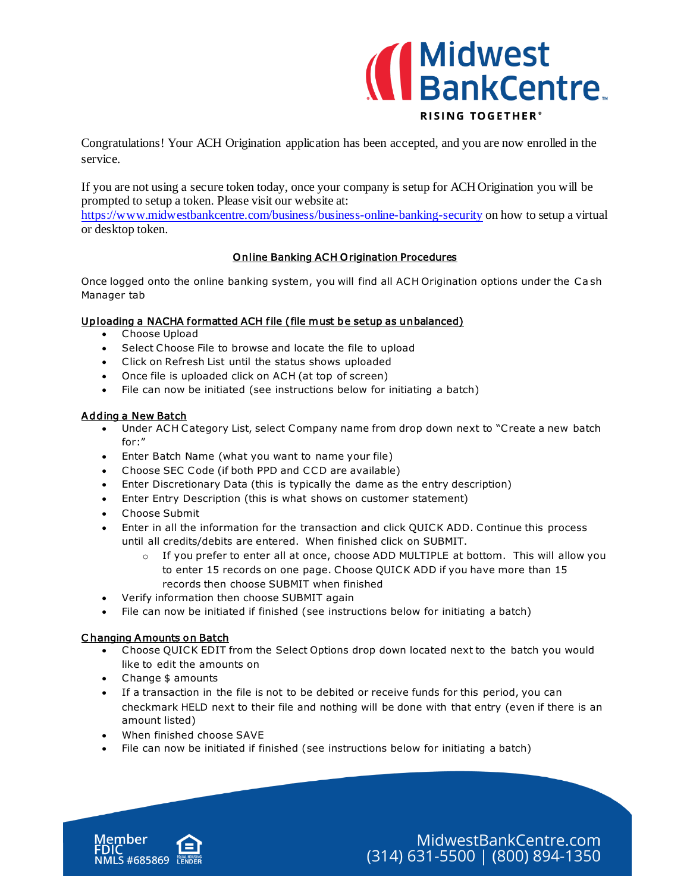

Congratulations! Your ACH Origination application has been accepted, and you are now enrolled in the service.

If you are not using a secure token today, once your company is setup for ACH Origination you will be prompted to setup a token. Please visit our website at: <https://www.midwestbankcentre.com/business/business-online-banking-security> on how to setup a virtual

or desktop token.

# Online Banking ACH O rigination Procedures

Once logged onto the online banking system, you will find all ACH Origination options under the Ca sh Manager tab

## Uploading a NACHA formatted ACH file ( file must be setup as unbalanced)

- Choose Upload
- Select Choose File to browse and locate the file to upload
- Click on Refresh List until the status shows uploaded
- Once file is uploaded click on ACH (at top of screen)
- File can now be initiated (see instructions below for initiating a batch)

## A dding a New Batch

- Under ACH Category List, select Company name from drop down next to "Create a new batch for:"
- Enter Batch Name (what you want to name your file)
- Choose SEC Code (if both PPD and CCD are available)
- Enter Discretionary Data (this is typically the dame as the entry description)
- Enter Entry Description (this is what shows on customer statement)
- Choose Submit
- Enter in all the information for the transaction and click QUICK ADD. Continue this process until all credits/debits are entered. When finished click on SUBMIT.
	- $\circ$  If you prefer to enter all at once, choose ADD MULTIPLE at bottom. This will allow you to enter 15 records on one page. Choose QUICK ADD if you have more than 15 records then choose SUBMIT when finished
- Verify information then choose SUBMIT again
- File can now be initiated if finished (see instructions below for initiating a batch)

### C hanging Amounts on Batch

- Choose QUICK EDIT from the Select Options drop down located next to the batch you would like to edit the amounts on
- Change \$ amounts
- If a transaction in the file is not to be debited or receive funds for this period, you can checkmark HELD next to their file and nothing will be done with that entry (even if there is an amount listed)
- When finished choose SAVE
- File can now be initiated if finished (see instructions below for initiating a batch)

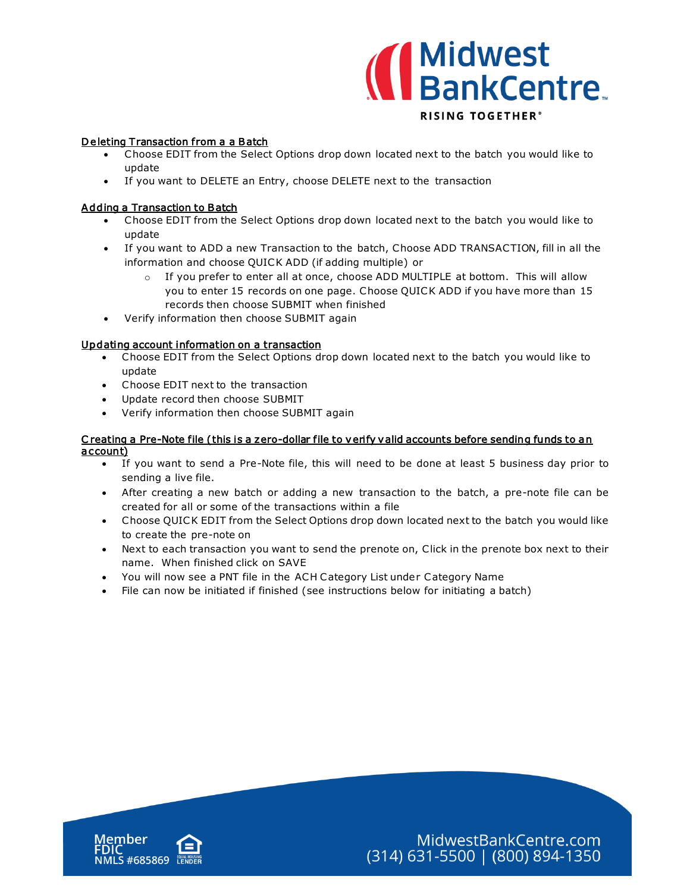

#### Deleting Transaction from a a Batch

- Choose EDIT from the Select Options drop down located next to the batch you would like to update
- If you want to DELETE an Entry, choose DELETE next to the transaction

#### Adding a Transaction to Batch

- Choose EDIT from the Select Options drop down located next to the batch you would like to update
- If you want to ADD a new Transaction to the batch, Choose ADD TRANSACTION, fill in all the information and choose QUICK ADD (if adding multiple) or
	- $\circ$  If you prefer to enter all at once, choose ADD MULTIPLE at bottom. This will allow you to enter 15 records on one page. Choose QUICK ADD if you have more than 15 records then choose SUBMIT when finished
- Verify information then choose SUBMIT again

#### Updating account information on a transaction

- Choose EDIT from the Select Options drop down located next to the batch you would like to update
- Choose EDIT next to the transaction
- Update record then choose SUBMIT
- Verify information then choose SUBMIT again

#### C reating a Pre-Note file (this is a zero-dollar file to verify valid accounts before sending funds to an a c count)

- If you want to send a Pre-Note file, this will need to be done at least 5 business day prior to sending a live file.
- After creating a new batch or adding a new transaction to the batch, a pre-note file can be created for all or some of the transactions within a file
- Choose QUICK EDIT from the Select Options drop down located next to the batch you would like to create the pre-note on
- Next to each transaction you want to send the prenote on, Click in the prenote box next to their name. When finished click on SAVE
- You will now see a PNT file in the ACH Category List under Category Name
- File can now be initiated if finished (see instructions below for initiating a batch)

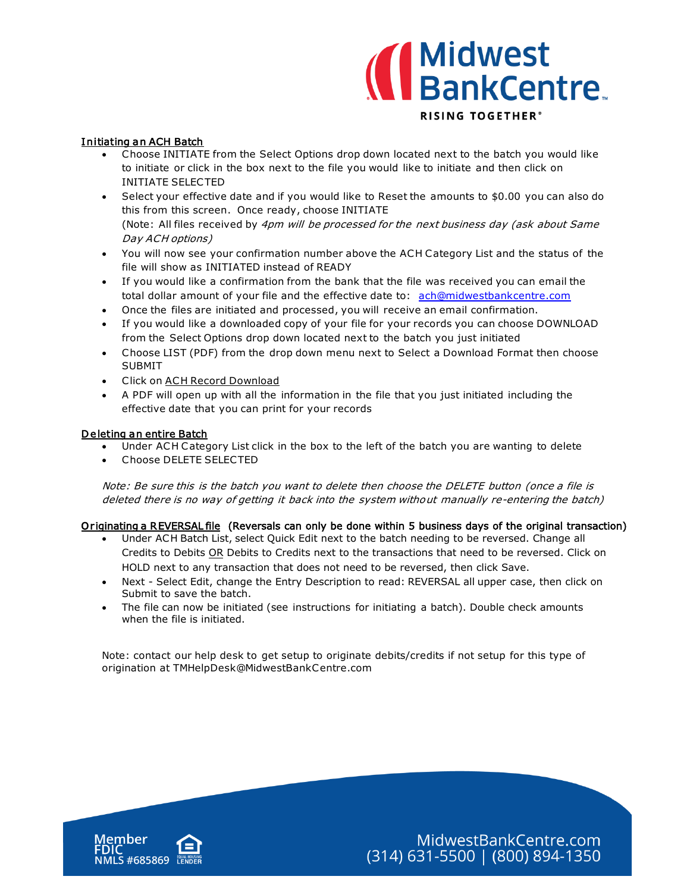# Midwest<br>BankCentre **RISING TOGETHER®**

#### Initiating an ACH Batch

- Choose INITIATE from the Select Options drop down located next to the batch you would like to initiate or click in the box next to the file you would like to initiate and then click on INITIATE SELECTED
- Select your effective date and if you would like to Reset the amounts to \$0.00 you can also do this from this screen. Once ready, choose INITIATE (Note: All files received by 4pm will be processed for the next business day (ask about Same Day ACH options)
- You will now see your confirmation number above the ACH Category List and the status of the file will show as INITIATED instead of READY
- If you would like a confirmation from the bank that the file was received you can email the total dollar amount of your file and the effective date to: [ach@midwestbankcentre.com](mailto:ach@midwestbankcentre.com)
- Once the files are initiated and processed, you will receive an email confirmation.
- If you would like a downloaded copy of your file for your records you can choose DOWNLOAD from the Select Options drop down located next to the batch you just initiated
- Choose LIST (PDF) from the drop down menu next to Select a Download Format then choose SUBMIT
- Click on ACH Record Download
- A PDF will open up with all the information in the file that you just initiated including the effective date that you can print for your records

#### Deleting an entire Batch

- Under ACH Category List click in the box to the left of the batch you are wanting to delete
- Choose DELETE SELECTED

Note: Be sure this is the batch you want to delete then choose the DELETE button (once a file is deleted there is no way of getting it back into the system without manually re-entering the batch)

#### Or iginating a REVERSAL file (Reversals can only be done within 5 business days of the original transaction)

- Under ACH Batch List, select Quick Edit next to the batch needing to be reversed. Change all Credits to Debits OR Debits to Credits next to the transactions that need to be reversed. Click on HOLD next to any transaction that does not need to be reversed, then click Save.
- Next Select Edit, change the Entry Description to read: REVERSAL all upper case, then click on Submit to save the batch.
- The file can now be initiated (see instructions for initiating a batch). Double check amounts when the file is initiated.

Note: contact our help desk to get setup to originate debits/credits if not setup for this type of origination at TMHelpDesk@MidwestBankCentre.com